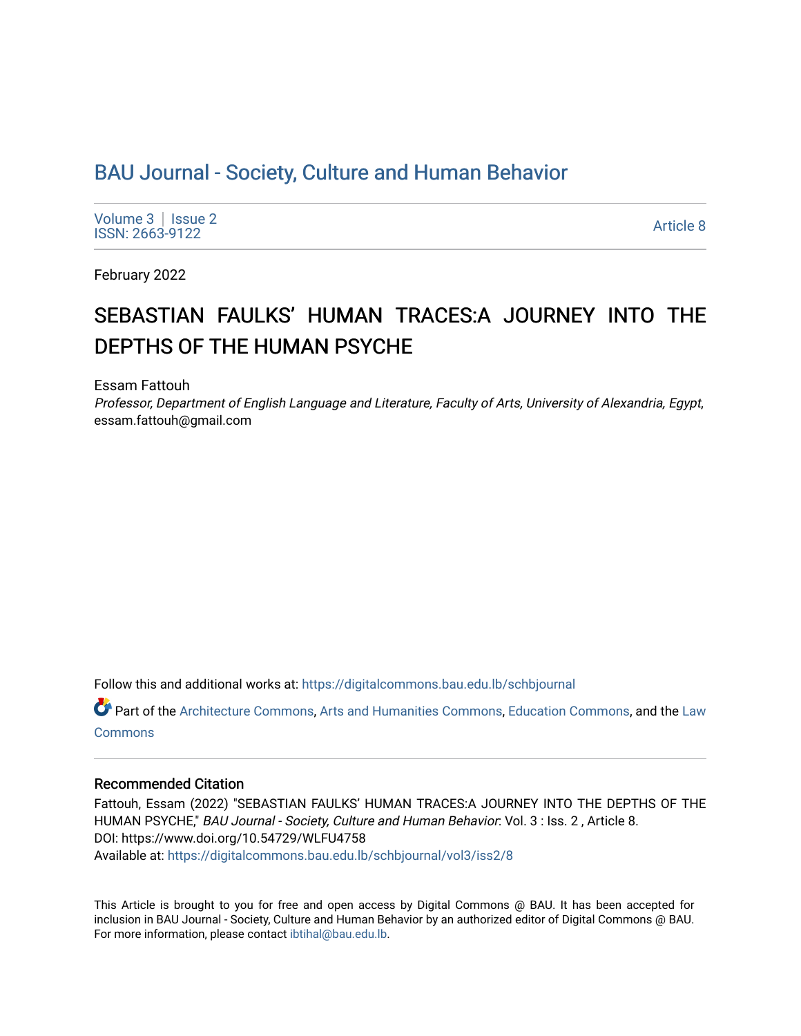# [BAU Journal - Society, Culture and Human Behavior](https://digitalcommons.bau.edu.lb/schbjournal)

[Volume 3](https://digitalcommons.bau.edu.lb/schbjournal/vol3) | Issue 2 Notative Superior Superior Section 2012<br>ISSN: 2663-9122

February 2022

# SEBASTIAN FAULKS' HUMAN TRACES:A JOURNEY INTO THE DEPTHS OF THE HUMAN PSYCHE

Essam Fattouh

Professor, Department of English Language and Literature, Faculty of Arts, University of Alexandria, Egypt, essam.fattouh@gmail.com

Follow this and additional works at: [https://digitalcommons.bau.edu.lb/schbjournal](https://digitalcommons.bau.edu.lb/schbjournal?utm_source=digitalcommons.bau.edu.lb%2Fschbjournal%2Fvol3%2Fiss2%2F8&utm_medium=PDF&utm_campaign=PDFCoverPages)

Part of the [Architecture Commons](http://network.bepress.com/hgg/discipline/773?utm_source=digitalcommons.bau.edu.lb%2Fschbjournal%2Fvol3%2Fiss2%2F8&utm_medium=PDF&utm_campaign=PDFCoverPages), [Arts and Humanities Commons](http://network.bepress.com/hgg/discipline/438?utm_source=digitalcommons.bau.edu.lb%2Fschbjournal%2Fvol3%2Fiss2%2F8&utm_medium=PDF&utm_campaign=PDFCoverPages), [Education Commons,](http://network.bepress.com/hgg/discipline/784?utm_source=digitalcommons.bau.edu.lb%2Fschbjournal%2Fvol3%2Fiss2%2F8&utm_medium=PDF&utm_campaign=PDFCoverPages) and the [Law](http://network.bepress.com/hgg/discipline/578?utm_source=digitalcommons.bau.edu.lb%2Fschbjournal%2Fvol3%2Fiss2%2F8&utm_medium=PDF&utm_campaign=PDFCoverPages)  **[Commons](http://network.bepress.com/hgg/discipline/578?utm_source=digitalcommons.bau.edu.lb%2Fschbjournal%2Fvol3%2Fiss2%2F8&utm_medium=PDF&utm_campaign=PDFCoverPages)** 

#### Recommended Citation

Fattouh, Essam (2022) "SEBASTIAN FAULKS' HUMAN TRACES:A JOURNEY INTO THE DEPTHS OF THE HUMAN PSYCHE," BAU Journal - Society, Culture and Human Behavior: Vol. 3 : Iss. 2, Article 8. DOI: https://www.doi.org/10.54729/WLFU4758 Available at: [https://digitalcommons.bau.edu.lb/schbjournal/vol3/iss2/8](https://digitalcommons.bau.edu.lb/schbjournal/vol3/iss2/8?utm_source=digitalcommons.bau.edu.lb%2Fschbjournal%2Fvol3%2Fiss2%2F8&utm_medium=PDF&utm_campaign=PDFCoverPages)

This Article is brought to you for free and open access by Digital Commons @ BAU. It has been accepted for inclusion in BAU Journal - Society, Culture and Human Behavior by an authorized editor of Digital Commons @ BAU. For more information, please contact [ibtihal@bau.edu.lb.](mailto:ibtihal@bau.edu.lb)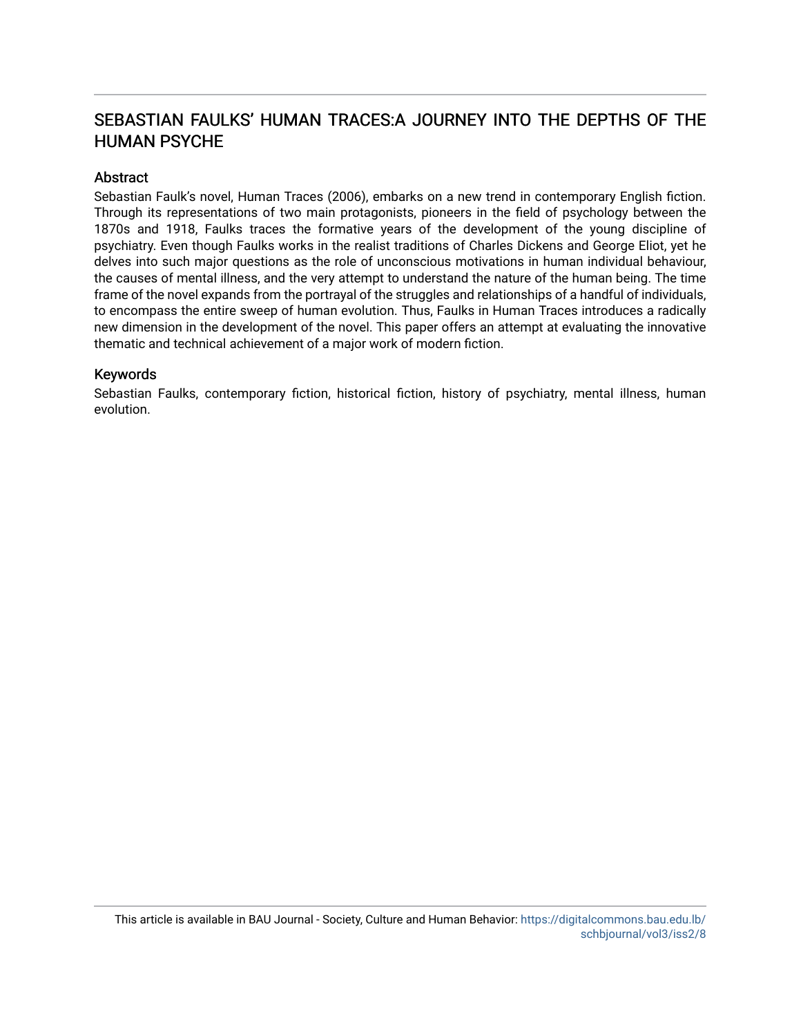## SEBASTIAN FAULKS' HUMAN TRACES:A JOURNEY INTO THE DEPTHS OF THE HUMAN PSYCHE

### **Abstract**

Sebastian Faulk's novel, Human Traces (2006), embarks on a new trend in contemporary English fiction. Through its representations of two main protagonists, pioneers in the field of psychology between the 1870s and 1918, Faulks traces the formative years of the development of the young discipline of psychiatry. Even though Faulks works in the realist traditions of Charles Dickens and George Eliot, yet he delves into such major questions as the role of unconscious motivations in human individual behaviour, the causes of mental illness, and the very attempt to understand the nature of the human being. The time frame of the novel expands from the portrayal of the struggles and relationships of a handful of individuals, to encompass the entire sweep of human evolution. Thus, Faulks in Human Traces introduces a radically new dimension in the development of the novel. This paper offers an attempt at evaluating the innovative thematic and technical achievement of a major work of modern fiction.

### Keywords

Sebastian Faulks, contemporary fiction, historical fiction, history of psychiatry, mental illness, human evolution.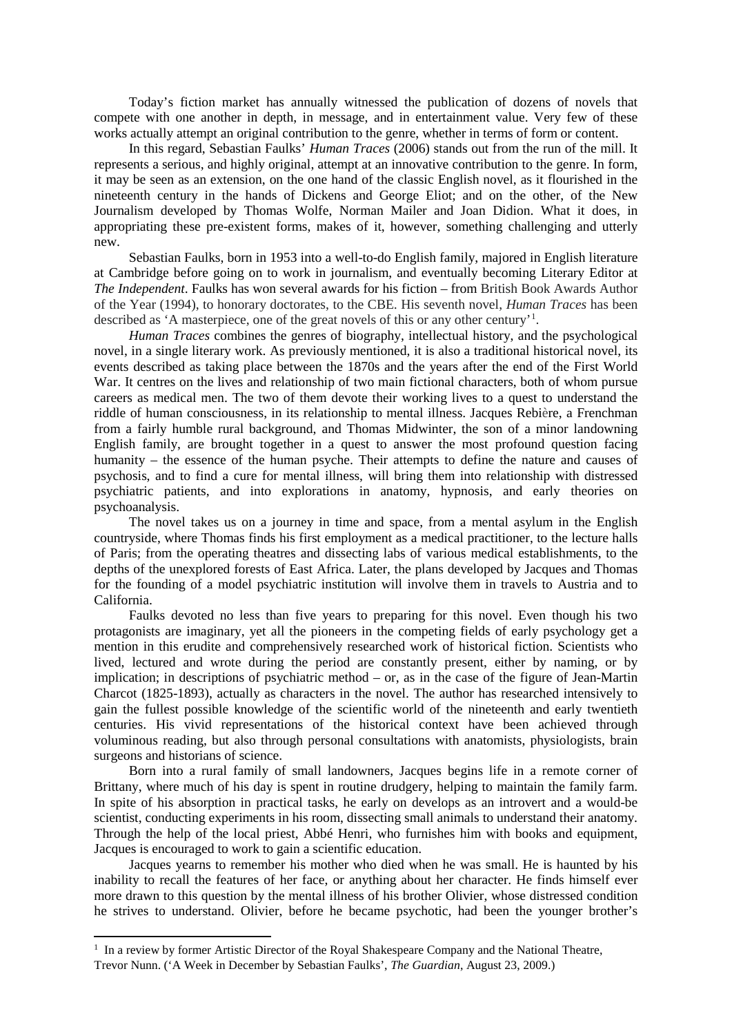Today's fiction market has annually witnessed the publication of dozens of novels that compete with one another in depth, in message, and in entertainment value. Very few of these works actually attempt an original contribution to the genre, whether in terms of form or content.

In this regard, Sebastian Faulks' *Human Traces* (2006) stands out from the run of the mill. It represents a serious, and highly original, attempt at an innovative contribution to the genre. In form, it may be seen as an extension, on the one hand of the classic English novel, as it flourished in the nineteenth century in the hands of Dickens and George Eliot; and on the other, of the New Journalism developed by Thomas Wolfe, Norman Mailer and Joan Didion. What it does, in appropriating these pre-existent forms, makes of it, however, something challenging and utterly new.

Sebastian Faulks, born in 1953 into a well-to-do English family, majored in English literature at Cambridge before going on to work in journalism, and eventually becoming Literary Editor at *The Independent*. Faulks has won several awards for his fiction – from British Book Awards Author of the Year (1994), to honorary doctorates, to the CBE. His seventh novel, *Human Traces* has been described as 'A masterpiece, one of the great novels of this or any other century'[1](#page-2-0) .

*Human Traces* combines the genres of biography, intellectual history, and the psychological novel, in a single literary work. As previously mentioned, it is also a traditional historical novel, its events described as taking place between the 1870s and the years after the end of the First World War. It centres on the lives and relationship of two main fictional characters, both of whom pursue careers as medical men. The two of them devote their working lives to a quest to understand the riddle of human consciousness, in its relationship to mental illness. Jacques Rebière, a Frenchman from a fairly humble rural background, and Thomas Midwinter, the son of a minor landowning English family, are brought together in a quest to answer the most profound question facing humanity – the essence of the human psyche. Their attempts to define the nature and causes of psychosis, and to find a cure for mental illness, will bring them into relationship with distressed psychiatric patients, and into explorations in anatomy, hypnosis, and early theories on psychoanalysis.

The novel takes us on a journey in time and space, from a mental asylum in the English countryside, where Thomas finds his first employment as a medical practitioner, to the lecture halls of Paris; from the operating theatres and dissecting labs of various medical establishments, to the depths of the unexplored forests of East Africa. Later, the plans developed by Jacques and Thomas for the founding of a model psychiatric institution will involve them in travels to Austria and to California.

Faulks devoted no less than five years to preparing for this novel. Even though his two protagonists are imaginary, yet all the pioneers in the competing fields of early psychology get a mention in this erudite and comprehensively researched work of historical fiction. Scientists who lived, lectured and wrote during the period are constantly present, either by naming, or by implication; in descriptions of psychiatric method – or, as in the case of the figure of Jean-Martin Charcot (1825-1893), actually as characters in the novel. The author has researched intensively to gain the fullest possible knowledge of the scientific world of the nineteenth and early twentieth centuries. His vivid representations of the historical context have been achieved through voluminous reading, but also through personal consultations with anatomists, physiologists, brain surgeons and historians of science.

Born into a rural family of small landowners, Jacques begins life in a remote corner of Brittany, where much of his day is spent in routine drudgery, helping to maintain the family farm. In spite of his absorption in practical tasks, he early on develops as an introvert and a would-be scientist, conducting experiments in his room, dissecting small animals to understand their anatomy. Through the help of the local priest, Abbé Henri, who furnishes him with books and equipment, Jacques is encouraged to work to gain a scientific education.

Jacques yearns to remember his mother who died when he was small. He is haunted by his inability to recall the features of her face, or anything about her character. He finds himself ever more drawn to this question by the mental illness of his brother Olivier, whose distressed condition he strives to understand. Olivier, before he became psychotic, had been the younger brother's

**.** 

<span id="page-2-0"></span><sup>&</sup>lt;sup>1</sup> In a review by former Artistic Director of the Royal Shakespeare Company and the National Theatre, Trevor Nunn. [\('A Week in December by Sebastian Faulks',](https://www.theguardian.com/books/2009/aug/23/week-in-december-faulks) *The Guardian*, August 23, 2009.)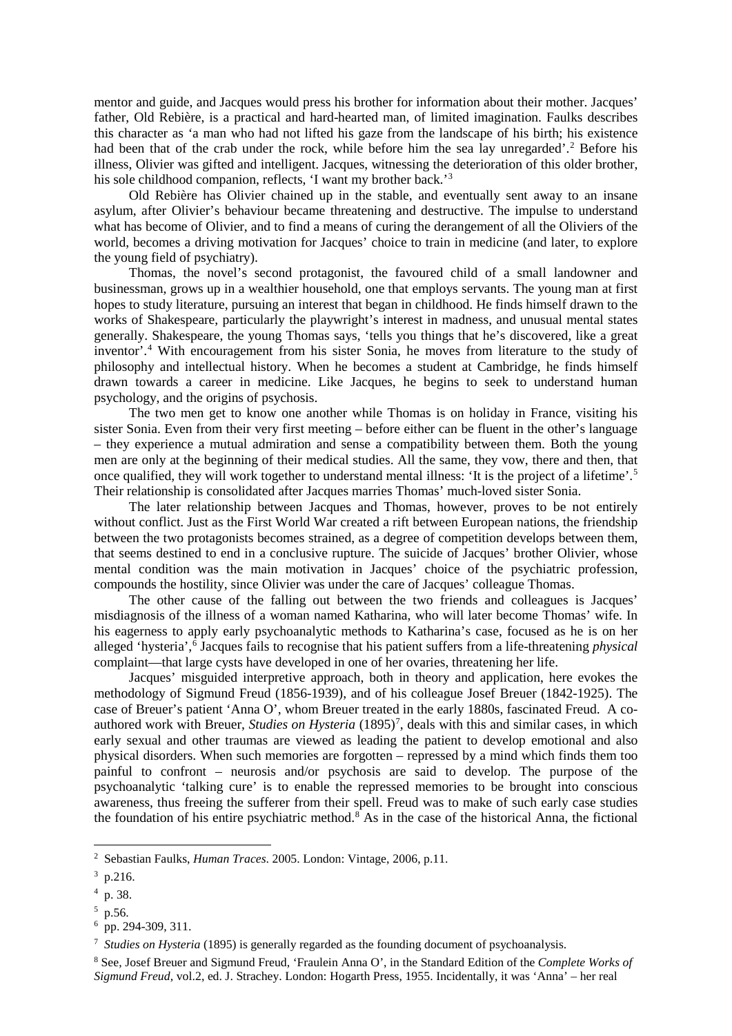mentor and guide, and Jacques would press his brother for information about their mother. Jacques' father, Old Rebière, is a practical and hard-hearted man, of limited imagination. Faulks describes this character as 'a man who had not lifted his gaze from the landscape of his birth; his existence had been that of the crab under the rock, while before him the sea lay unregarded'.<sup>[2](#page-3-0)</sup> Before his illness, Olivier was gifted and intelligent. Jacques, witnessing the deterioration of this older brother, his sole childhood companion, reflects, 'I want my brother back.'<sup>[3](#page-3-1)</sup>

Old Rebière has Olivier chained up in the stable, and eventually sent away to an insane asylum, after Olivier's behaviour became threatening and destructive. The impulse to understand what has become of Olivier, and to find a means of curing the derangement of all the Oliviers of the world, becomes a driving motivation for Jacques' choice to train in medicine (and later, to explore the young field of psychiatry).

Thomas, the novel's second protagonist, the favoured child of a small landowner and businessman, grows up in a wealthier household, one that employs servants. The young man at first hopes to study literature, pursuing an interest that began in childhood. He finds himself drawn to the works of Shakespeare, particularly the playwright's interest in madness, and unusual mental states generally. Shakespeare, the young Thomas says, 'tells you things that he's discovered, like a great inventor'.[4](#page-3-2) With encouragement from his sister Sonia, he moves from literature to the study of philosophy and intellectual history. When he becomes a student at Cambridge, he finds himself drawn towards a career in medicine. Like Jacques, he begins to seek to understand human psychology, and the origins of psychosis.

The two men get to know one another while Thomas is on holiday in France, visiting his sister Sonia. Even from their very first meeting – before either can be fluent in the other's language – they experience a mutual admiration and sense a compatibility between them. Both the young men are only at the beginning of their medical studies. All the same, they vow, there and then, that once qualified, they will work together to understand mental illness: 'It is the project of a lifetime'.<sup>[5](#page-3-3)</sup> Their relationship is consolidated after Jacques marries Thomas' much-loved sister Sonia.

The later relationship between Jacques and Thomas, however, proves to be not entirely without conflict. Just as the First World War created a rift between European nations, the friendship between the two protagonists becomes strained, as a degree of competition develops between them, that seems destined to end in a conclusive rupture. The suicide of Jacques' brother Olivier, whose mental condition was the main motivation in Jacques' choice of the psychiatric profession, compounds the hostility, since Olivier was under the care of Jacques' colleague Thomas.

The other cause of the falling out between the two friends and colleagues is Jacques' misdiagnosis of the illness of a woman named Katharina, who will later become Thomas' wife. In his eagerness to apply early psychoanalytic methods to Katharina's case, focused as he is on her alleged 'hysteria',[6](#page-3-4) Jacques fails to recognise that his patient suffers from a life-threatening *physical*  complaint—that large cysts have developed in one of her ovaries, threatening her life.

Jacques' misguided interpretive approach, both in theory and application, here evokes the methodology of Sigmund Freud (1856-1939), and of his colleague Josef Breuer (1842-1925). The case of Breuer's patient 'Anna O', whom Breuer treated in the early 1880s, fascinated Freud. A coauthored work with Breuer, *Studies on Hysteria* (1895)<sup>[7](#page-3-5)</sup>, deals with this and similar cases, in which early sexual and other traumas are viewed as leading the patient to develop emotional and also physical disorders. When such memories are forgotten – repressed by a mind which finds them too painful to confront – neurosis and/or psychosis are said to develop. The purpose of the psychoanalytic 'talking cure' is to enable the repressed memories to be brought into conscious awareness, thus freeing the sufferer from their spell. Freud was to make of such early case studies the foundation of his entire psychiatric method.[8](#page-3-6) As in the case of the historical Anna, the fictional

**.** 

<span id="page-3-0"></span><sup>2</sup> Sebastian Faulks, *Human Traces*. 2005. London: Vintage, 2006, p.11.

<span id="page-3-1"></span> $3$  p.216.

<span id="page-3-2"></span><sup>4</sup> p. 38.

<span id="page-3-3"></span> $5$  p.56.

<span id="page-3-4"></span><sup>6</sup> pp. 294-309, 311.

<span id="page-3-5"></span><sup>7</sup> *Studies on Hysteria* (1895) is generally regarded as the founding document of psychoanalysis.

<span id="page-3-6"></span><sup>8</sup> See, Josef Breuer and Sigmund Freud, 'Fraulein Anna O', in the Standard Edition of the *Complete Works of Sigmund Freud*, vol.2, ed. J. Strachey. London: Hogarth Press, 1955. Incidentally, it was 'Anna' – her real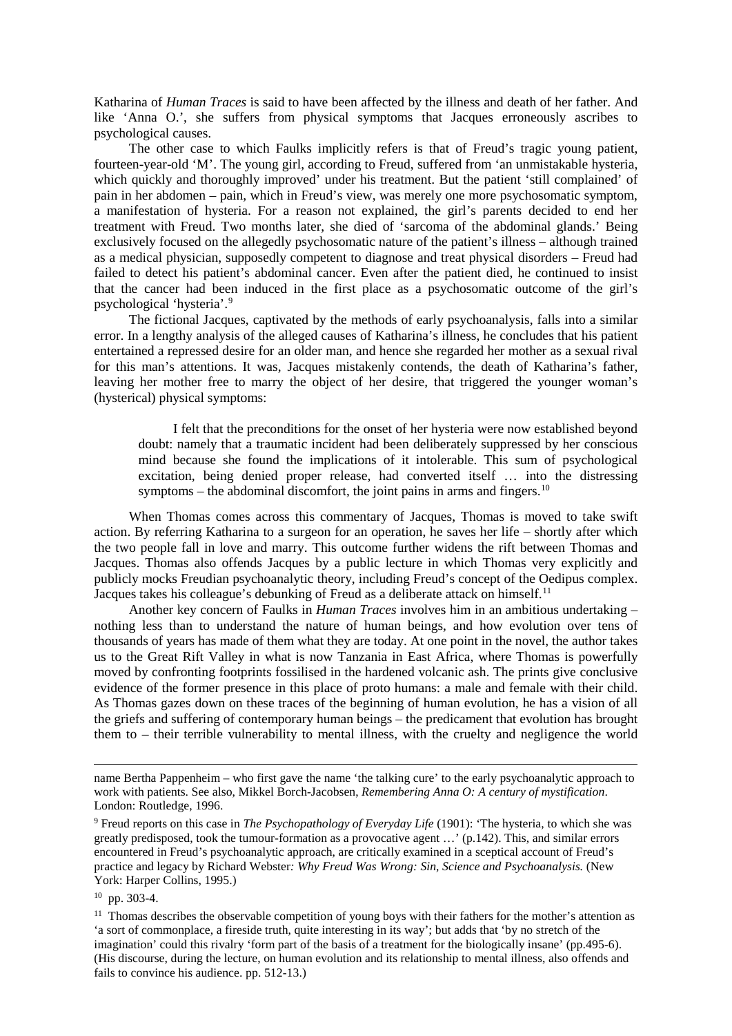Katharina of *Human Traces* is said to have been affected by the illness and death of her father. And like 'Anna O.', she suffers from physical symptoms that Jacques erroneously ascribes to psychological causes.

The other case to which Faulks implicitly refers is that of Freud's tragic young patient, fourteen-year-old 'M'. The young girl, according to Freud, suffered from 'an unmistakable hysteria, which quickly and thoroughly improved' under his treatment. But the patient 'still complained' of pain in her abdomen – pain, which in Freud's view, was merely one more psychosomatic symptom, a manifestation of hysteria. For a reason not explained, the girl's parents decided to end her treatment with Freud. Two months later, she died of 'sarcoma of the abdominal glands.' Being exclusively focused on the allegedly psychosomatic nature of the patient's illness – although trained as a medical physician, supposedly competent to diagnose and treat physical disorders – Freud had failed to detect his patient's abdominal cancer. Even after the patient died, he continued to insist that the cancer had been induced in the first place as a psychosomatic outcome of the girl's psychological 'hysteria'.[9](#page-4-0)

The fictional Jacques, captivated by the methods of early psychoanalysis, falls into a similar error. In a lengthy analysis of the alleged causes of Katharina's illness, he concludes that his patient entertained a repressed desire for an older man, and hence she regarded her mother as a sexual rival for this man's attentions. It was, Jacques mistakenly contends, the death of Katharina's father, leaving her mother free to marry the object of her desire, that triggered the younger woman's (hysterical) physical symptoms:

I felt that the preconditions for the onset of her hysteria were now established beyond doubt: namely that a traumatic incident had been deliberately suppressed by her conscious mind because she found the implications of it intolerable. This sum of psychological excitation, being denied proper release, had converted itself … into the distressing symptoms – the abdominal discomfort, the joint pains in arms and fingers.<sup>[10](#page-4-1)</sup>

When Thomas comes across this commentary of Jacques, Thomas is moved to take swift action. By referring Katharina to a surgeon for an operation, he saves her life – shortly after which the two people fall in love and marry. This outcome further widens the rift between Thomas and Jacques. Thomas also offends Jacques by a public lecture in which Thomas very explicitly and publicly mocks Freudian psychoanalytic theory, including Freud's concept of the Oedipus complex. Jacques takes his colleague's debunking of Freud as a deliberate attack on himself.<sup>[11](#page-4-2)</sup>

Another key concern of Faulks in *Human Traces* involves him in an ambitious undertaking – nothing less than to understand the nature of human beings, and how evolution over tens of thousands of years has made of them what they are today. At one point in the novel, the author takes us to the Great Rift Valley in what is now Tanzania in East Africa, where Thomas is powerfully moved by confronting footprints fossilised in the hardened volcanic ash. The prints give conclusive evidence of the former presence in this place of proto humans: a male and female with their child. As Thomas gazes down on these traces of the beginning of human evolution, he has a vision of all the griefs and suffering of contemporary human beings – the predicament that evolution has brought them to – their terrible vulnerability to mental illness, with the cruelty and negligence the world

**.** 

name Bertha Pappenheim – who first gave the name 'the talking cure' to the early psychoanalytic approach to work with patients. See also, Mikkel Borch-Jacobsen, *Remembering Anna O: A century of mystification*. London: Routledge, 1996.

<span id="page-4-0"></span><sup>9</sup> Freud reports on this case in *The Psychopathology of Everyday Life* (1901): 'The hysteria, to which she was greatly predisposed, took the tumour-formation as a provocative agent …' (p.142). This, and similar errors encountered in Freud's psychoanalytic approach, are critically examined in a sceptical account of Freud's practice and legacy by Richard Webster*: Why Freud Was Wrong: Sin, Science and Psychoanalysis.* (New York: Harper Collins, 1995.)

<span id="page-4-1"></span><sup>10</sup> pp. 303-4.

<span id="page-4-2"></span><sup>&</sup>lt;sup>11</sup> Thomas describes the observable competition of young boys with their fathers for the mother's attention as 'a sort of commonplace, a fireside truth, quite interesting in its way'; but adds that 'by no stretch of the imagination' could this rivalry 'form part of the basis of a treatment for the biologically insane' (pp.495-6). (His discourse, during the lecture, on human evolution and its relationship to mental illness, also offends and fails to convince his audience. pp. 512-13.)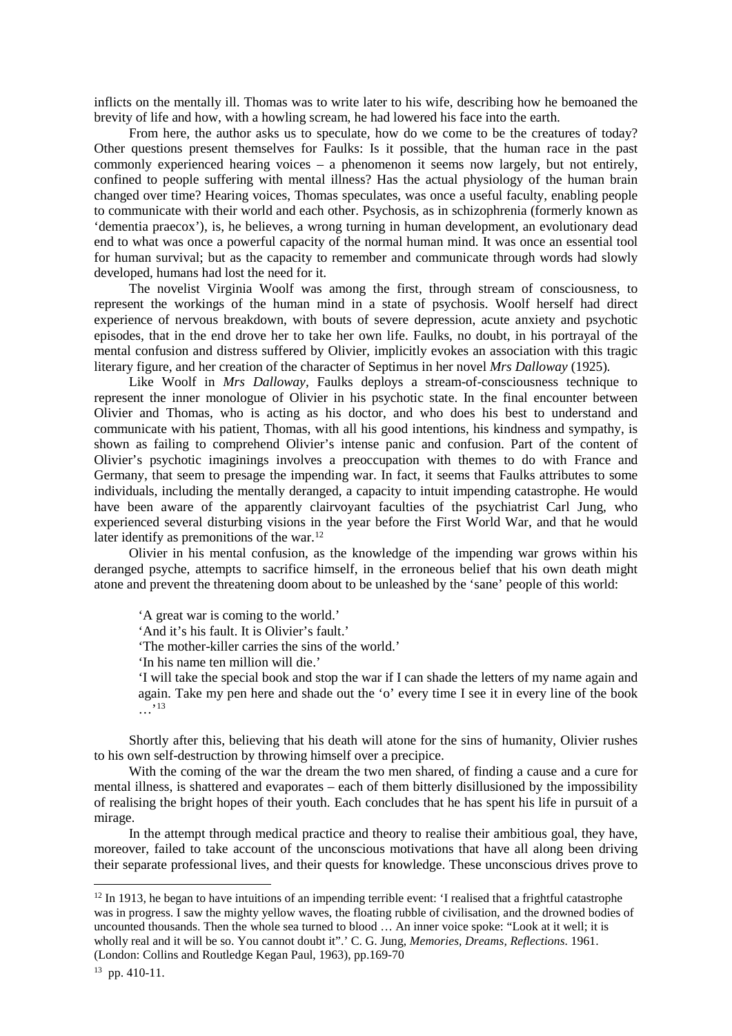inflicts on the mentally ill. Thomas was to write later to his wife, describing how he bemoaned the brevity of life and how, with a howling scream, he had lowered his face into the earth.

From here, the author asks us to speculate, how do we come to be the creatures of today? Other questions present themselves for Faulks: Is it possible, that the human race in the past commonly experienced hearing voices – a phenomenon it seems now largely, but not entirely, confined to people suffering with mental illness? Has the actual physiology of the human brain changed over time? Hearing voices, Thomas speculates, was once a useful faculty, enabling people to communicate with their world and each other. Psychosis, as in schizophrenia (formerly known as 'dementia praecox'), is, he believes, a wrong turning in human development, an evolutionary dead end to what was once a powerful capacity of the normal human mind. It was once an essential tool for human survival; but as the capacity to remember and communicate through words had slowly developed, humans had lost the need for it.

The novelist Virginia Woolf was among the first, through stream of consciousness, to represent the workings of the human mind in a state of psychosis. Woolf herself had direct experience of nervous breakdown, with bouts of severe depression, acute anxiety and psychotic episodes, that in the end drove her to take her own life. Faulks, no doubt, in his portrayal of the mental confusion and distress suffered by Olivier, implicitly evokes an association with this tragic literary figure, and her creation of the character of Septimus in her novel *Mrs Dalloway* (1925)*.* 

Like Woolf in *Mrs Dalloway,* Faulks deploys a stream-of-consciousness technique to represent the inner monologue of Olivier in his psychotic state. In the final encounter between Olivier and Thomas, who is acting as his doctor, and who does his best to understand and communicate with his patient, Thomas, with all his good intentions, his kindness and sympathy, is shown as failing to comprehend Olivier's intense panic and confusion. Part of the content of Olivier's psychotic imaginings involves a preoccupation with themes to do with France and Germany, that seem to presage the impending war. In fact, it seems that Faulks attributes to some individuals, including the mentally deranged, a capacity to intuit impending catastrophe. He would have been aware of the apparently clairvoyant faculties of the psychiatrist Carl Jung, who experienced several disturbing visions in the year before the First World War, and that he would later identify as premonitions of the war.<sup>[12](#page-5-0)</sup>

Olivier in his mental confusion, as the knowledge of the impending war grows within his deranged psyche, attempts to sacrifice himself, in the erroneous belief that his own death might atone and prevent the threatening doom about to be unleashed by the 'sane' people of this world:

'A great war is coming to the world.'

'And it's his fault. It is Olivier's fault.'

'The mother-killer carries the sins of the world.'

'In his name ten million will die.'

'I will take the special book and stop the war if I can shade the letters of my name again and again. Take my pen here and shade out the 'o' every time I see it in every line of the book  $\ldots$ <sup>[13](#page-5-1)</sup>

Shortly after this, believing that his death will atone for the sins of humanity, Olivier rushes to his own self-destruction by throwing himself over a precipice.

With the coming of the war the dream the two men shared, of finding a cause and a cure for mental illness, is shattered and evaporates – each of them bitterly disillusioned by the impossibility of realising the bright hopes of their youth. Each concludes that he has spent his life in pursuit of a mirage.

In the attempt through medical practice and theory to realise their ambitious goal, they have, moreover, failed to take account of the unconscious motivations that have all along been driving their separate professional lives, and their quests for knowledge. These unconscious drives prove to

 $\overline{a}$ 

<span id="page-5-0"></span> $12$  In 1913, he began to have intuitions of an impending terrible event: 'I realised that a frightful catastrophe was in progress. I saw the mighty yellow waves, the floating rubble of civilisation, and the drowned bodies of uncounted thousands. Then the whole sea turned to blood … An inner voice spoke: "Look at it well; it is wholly real and it will be so. You cannot doubt it".' C. G. Jung, *Memories, Dreams, Reflections*. 1961.

<sup>(</sup>London: Collins and Routledge Kegan Paul, 1963), pp.169-70

<span id="page-5-1"></span><sup>13</sup> pp. 410-11.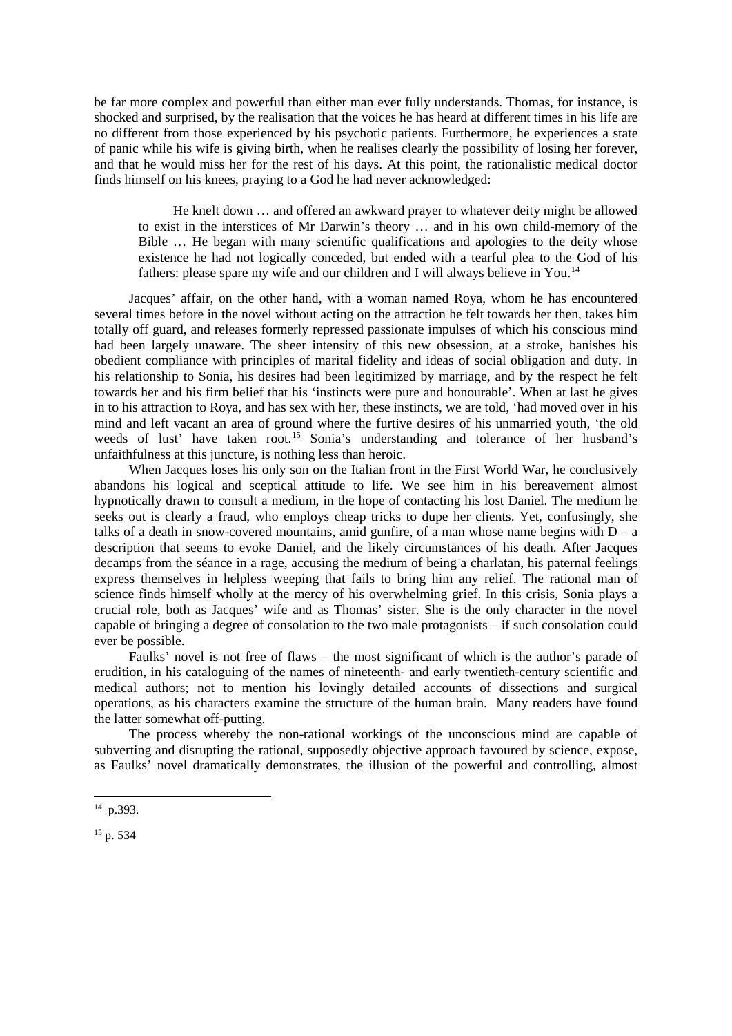be far more complex and powerful than either man ever fully understands. Thomas, for instance, is shocked and surprised, by the realisation that the voices he has heard at different times in his life are no different from those experienced by his psychotic patients. Furthermore, he experiences a state of panic while his wife is giving birth, when he realises clearly the possibility of losing her forever, and that he would miss her for the rest of his days. At this point, the rationalistic medical doctor finds himself on his knees, praying to a God he had never acknowledged:

He knelt down … and offered an awkward prayer to whatever deity might be allowed to exist in the interstices of Mr Darwin's theory … and in his own child-memory of the Bible … He began with many scientific qualifications and apologies to the deity whose existence he had not logically conceded, but ended with a tearful plea to the God of his fathers: please spare my wife and our children and I will always believe in You.<sup>[14](#page-6-0)</sup>

Jacques' affair, on the other hand, with a woman named Roya, whom he has encountered several times before in the novel without acting on the attraction he felt towards her then, takes him totally off guard, and releases formerly repressed passionate impulses of which his conscious mind had been largely unaware. The sheer intensity of this new obsession, at a stroke, banishes his obedient compliance with principles of marital fidelity and ideas of social obligation and duty. In his relationship to Sonia, his desires had been legitimized by marriage, and by the respect he felt towards her and his firm belief that his 'instincts were pure and honourable'. When at last he gives in to his attraction to Roya, and has sex with her, these instincts, we are told, 'had moved over in his mind and left vacant an area of ground where the furtive desires of his unmarried youth, 'the old weeds of lust' have taken root.<sup>[15](#page-6-1)</sup> Sonia's understanding and tolerance of her husband's unfaithfulness at this juncture, is nothing less than heroic.

When Jacques loses his only son on the Italian front in the First World War, he conclusively abandons his logical and sceptical attitude to life. We see him in his bereavement almost hypnotically drawn to consult a medium, in the hope of contacting his lost Daniel. The medium he seeks out is clearly a fraud, who employs cheap tricks to dupe her clients. Yet, confusingly, she talks of a death in snow-covered mountains, amid gunfire, of a man whose name begins with  $D - a$ description that seems to evoke Daniel, and the likely circumstances of his death. After Jacques decamps from the séance in a rage, accusing the medium of being a charlatan, his paternal feelings express themselves in helpless weeping that fails to bring him any relief. The rational man of science finds himself wholly at the mercy of his overwhelming grief. In this crisis, Sonia plays a crucial role, both as Jacques' wife and as Thomas' sister. She is the only character in the novel capable of bringing a degree of consolation to the two male protagonists – if such consolation could ever be possible.

Faulks' novel is not free of flaws – the most significant of which is the author's parade of erudition, in his cataloguing of the names of nineteenth- and early twentieth-century scientific and medical authors; not to mention his lovingly detailed accounts of dissections and surgical operations, as his characters examine the structure of the human brain. Many readers have found the latter somewhat off-putting.

The process whereby the non-rational workings of the unconscious mind are capable of subverting and disrupting the rational, supposedly objective approach favoured by science, expose, as Faulks' novel dramatically demonstrates, the illusion of the powerful and controlling, almost

1

<span id="page-6-0"></span><sup>14</sup> p.393.

<span id="page-6-1"></span><sup>&</sup>lt;sup>15</sup> p. 534